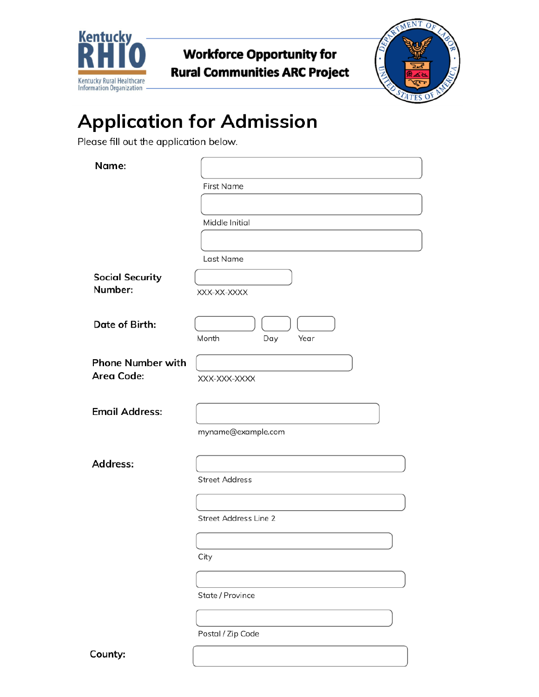

**Workforce Opportunity for Rural Communities ARC Project** 



# **Application for Admission**

Please fill out the application below.

| Name:                    |                              |
|--------------------------|------------------------------|
|                          |                              |
|                          | <b>First Name</b>            |
|                          |                              |
|                          | Middle Initial               |
|                          |                              |
|                          | Last Name                    |
| <b>Social Security</b>   |                              |
| Number:                  | XXX-XX-XXXX                  |
|                          |                              |
| Date of Birth:           |                              |
|                          | Month<br>Day<br>Year         |
| <b>Phone Number with</b> |                              |
| <b>Area Code:</b>        | XXX-XXX-XXXX                 |
|                          |                              |
| <b>Email Address:</b>    |                              |
|                          | myname@example.com           |
|                          |                              |
| Address:                 |                              |
|                          | <b>Street Address</b>        |
|                          |                              |
|                          |                              |
|                          | <b>Street Address Line 2</b> |
|                          |                              |
|                          | City                         |
|                          |                              |
|                          | State / Province             |
|                          |                              |
|                          |                              |

Postal / Zip Code

County: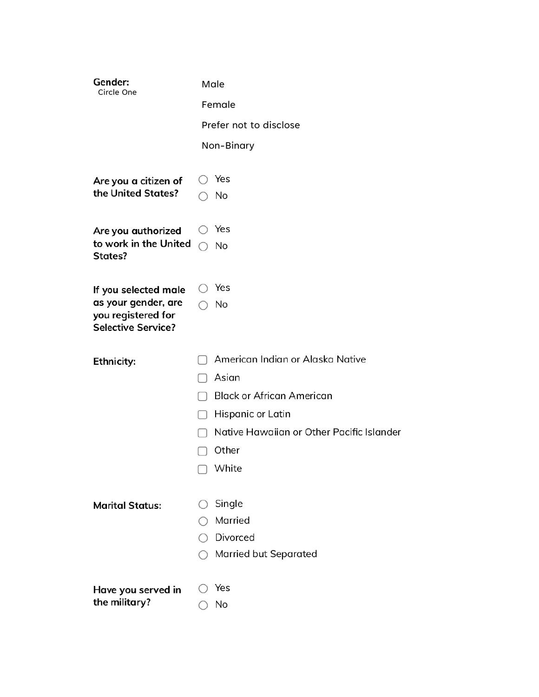| Gender:<br>Circle One                      | Male                                      |
|--------------------------------------------|-------------------------------------------|
|                                            | Female                                    |
|                                            | Prefer not to disclose                    |
|                                            | Non-Binary                                |
|                                            |                                           |
| Are you a citizen of<br>the United States? | Yes                                       |
|                                            | No                                        |
| Are you authorized                         | Yes                                       |
| to work in the United<br>States?           | No                                        |
|                                            |                                           |
| If you selected male                       | Yes                                       |
| as your gender, are<br>you registered for  | No                                        |
| <b>Selective Service?</b>                  |                                           |
|                                            | American Indian or Alaska Native          |
| Ethnicity:                                 | Asian                                     |
|                                            | <b>Black or African American</b>          |
|                                            |                                           |
|                                            |                                           |
|                                            | Hispanic or Latin                         |
|                                            | Native Hawaiian or Other Pacific Islander |
|                                            | Other                                     |
|                                            | $\Box$ White                              |
| <b>Marital Status:</b>                     | Single                                    |
|                                            | Married                                   |
|                                            | Divorced                                  |
|                                            | Married but Separated                     |
|                                            | Yes                                       |
| Have you served in<br>the military?        | No                                        |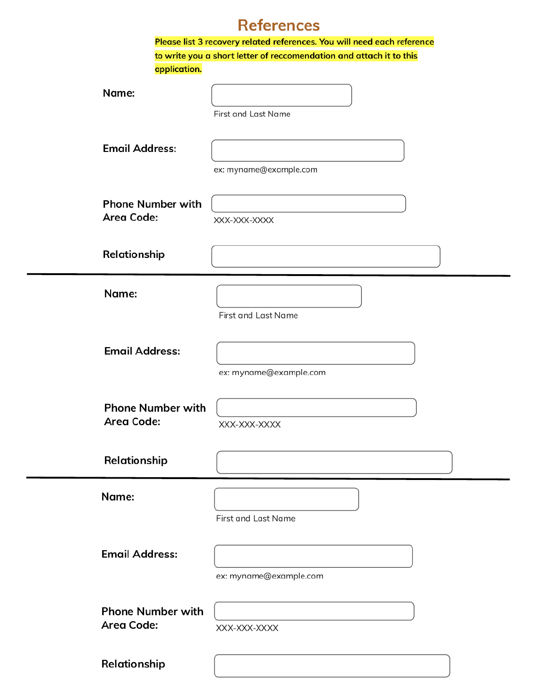#### **References**

|                                               | Please list 3 recovery related references. You will need each reference |
|-----------------------------------------------|-------------------------------------------------------------------------|
|                                               | to write you a short letter of reccomendation and attach it to this     |
| application.                                  |                                                                         |
| Name:                                         | First and Last Name                                                     |
| <b>Email Address:</b>                         | ex: myname@example.com                                                  |
| <b>Phone Number with</b><br><b>Area Code:</b> | XXX-XXX-XXXX                                                            |
| Relationship                                  |                                                                         |
| Name:                                         | First and Last Name                                                     |
| <b>Email Address:</b>                         | ex: myname@example.com                                                  |
| <b>Phone Number with</b><br><b>Area Code:</b> | XXX-XXX-XXXX                                                            |
| Relationship                                  |                                                                         |
| Name:                                         | <b>First and Last Name</b>                                              |
| <b>Email Address:</b>                         | ex: myname@example.com                                                  |
| <b>Phone Number with</b><br><b>Area Code:</b> | XXX-XXX-XXXX                                                            |
| Relationship                                  |                                                                         |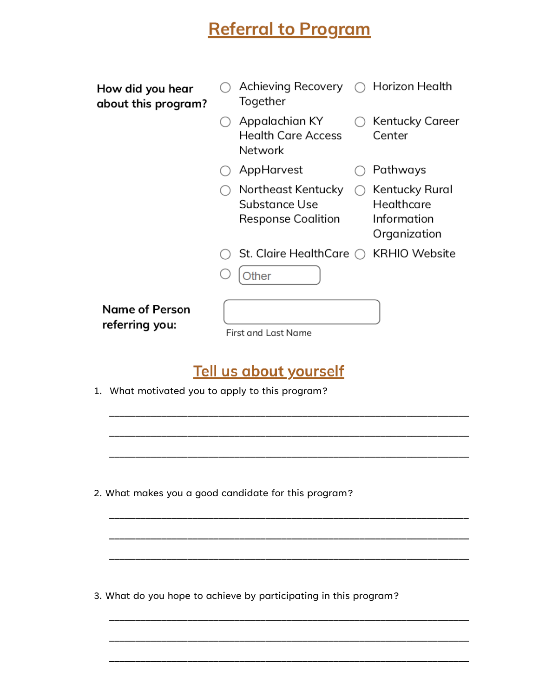## **Referral to Program**

| How did you hear<br>about this program? | Achieving Recovery<br>Together                                   | $\bigcirc$ Horizon Health                                   |
|-----------------------------------------|------------------------------------------------------------------|-------------------------------------------------------------|
|                                         | Appalachian KY<br><b>Health Care Access</b><br>Network           | Kentucky Career<br>Center                                   |
|                                         | AppHarvest                                                       | Pathways                                                    |
|                                         | Northeast Kentucky<br>Substance Use<br><b>Response Coalition</b> | Kentucky Rural<br>Healthcare<br>Information<br>Organization |
|                                         | St. Claire HealthCare $\bigcirc$                                 | <b>KRHIO Website</b>                                        |
|                                         | <b>Other</b>                                                     |                                                             |
| <b>Name of Person</b><br>referring you: | <b>First and Last Name</b>                                       |                                                             |

#### Tell us about yourself

1. What motivated you to apply to this program?

2. What makes you a good candidate for this program?

3. What do you hope to achieve by participating in this program?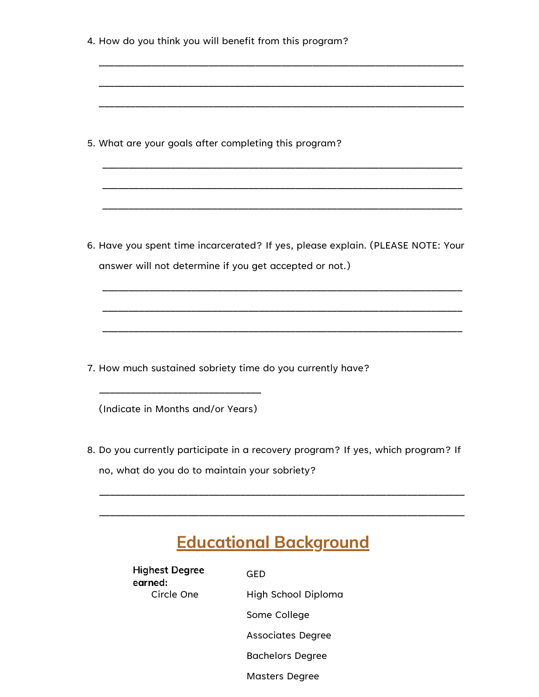| 4. How do you think you will benefit from this program? |                                                                                  |
|---------------------------------------------------------|----------------------------------------------------------------------------------|
|                                                         |                                                                                  |
|                                                         |                                                                                  |
| 5. What are your goals after completing this program?   |                                                                                  |
|                                                         |                                                                                  |
|                                                         | 6. Have you spent time incarcerated? If yes, please explain. (PLEASE NOTE: Your  |
|                                                         | answer will not determine if you get accepted or not.)                           |
|                                                         |                                                                                  |
|                                                         |                                                                                  |
|                                                         | 7. How much sustained sobriety time do you currently have?                       |
| (Indicate in Months and/or Years)                       |                                                                                  |
|                                                         | 8. Do you currently participate in a recovery program? If yes, which program? If |
| no, what do you do to maintain your sobriety?           |                                                                                  |
|                                                         |                                                                                  |
|                                                         | <b>Educational Background</b>                                                    |
| <b>Highest Degree</b><br>earned:                        | <b>GED</b>                                                                       |
| Circle One                                              | High School Diploma                                                              |
|                                                         | Some College                                                                     |
|                                                         | <b>Associates Degree</b>                                                         |
|                                                         | <b>Bachelors Degree</b>                                                          |

Masters Degree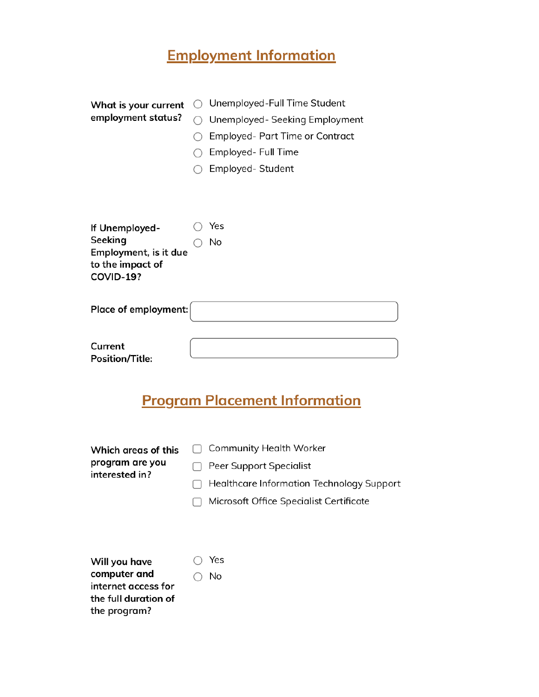## **Employment Information**

| What is your current             | $\left( \right)$ | Unemployed-Full Time Student           |
|----------------------------------|------------------|----------------------------------------|
| employment status?               |                  | Unemployed- Seeking Employment         |
|                                  |                  | <b>Employed- Part Time or Contract</b> |
|                                  |                  | Employed- Full Time                    |
|                                  |                  | Employed- Student                      |
|                                  |                  |                                        |
|                                  |                  |                                        |
|                                  |                  |                                        |
| If Unemployed-                   |                  | Yes                                    |
| Seeking<br>Employment, is it due |                  | No                                     |
| to the impact of                 |                  |                                        |
| COVID-19?                        |                  |                                        |
|                                  |                  |                                        |
| Place of employment:             |                  |                                        |
|                                  |                  |                                        |
| Current                          |                  |                                        |
| <b>Position/Title:</b>           |                  |                                        |

## **Program Placement Information**

| Which areas of this<br>program are you<br>interested in? | <b>Community Health Worker</b><br>Peer Support Specialist<br>Healthcare Information Technology Support<br>Microsoft Office Specialist Certificate |
|----------------------------------------------------------|---------------------------------------------------------------------------------------------------------------------------------------------------|
| Will you have                                            | Yes                                                                                                                                               |

| .             |
|---------------|
| $\bigcirc$ No |
|               |
|               |
|               |
|               |